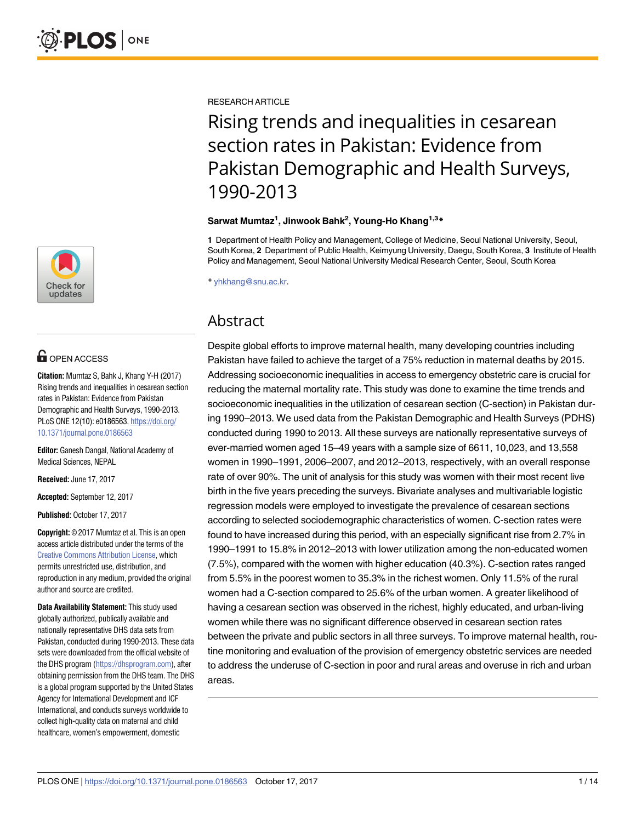

## **OPEN ACCESS**

**Citation:** Mumtaz S, Bahk J, Khang Y-H (2017) Rising trends and inequalities in cesarean section rates in Pakistan: Evidence from Pakistan Demographic and Health Surveys, 1990-2013. PLoS ONE 12(10): e0186563. [https://doi.org/](https://doi.org/10.1371/journal.pone.0186563) [10.1371/journal.pone.0186563](https://doi.org/10.1371/journal.pone.0186563)

**Editor:** Ganesh Dangal, National Academy of Medical Sciences, NEPAL

**Received:** June 17, 2017

**Accepted:** September 12, 2017

**Published:** October 17, 2017

**Copyright:** © 2017 Mumtaz et al. This is an open access article distributed under the terms of the Creative Commons [Attribution](http://creativecommons.org/licenses/by/4.0/) License, which permits unrestricted use, distribution, and reproduction in any medium, provided the original author and source are credited.

**Data Availability Statement:** This study used globally authorized, publically available and nationally representative DHS data sets from Pakistan, conducted during 1990-2013. These data sets were downloaded from the official website of the DHS program [\(https://dhsprogram.com\)](https://dhsprogram.com), after obtaining permission from the DHS team. The DHS is a global program supported by the United States Agency for International Development and ICF International, and conducts surveys worldwide to collect high-quality data on maternal and child healthcare, women's empowerment, domestic

RESEARCH ARTICLE

# Rising trends and inequalities in cesarean section rates in Pakistan: Evidence from Pakistan Demographic and Health Surveys, 1990-2013

#### **Sarwat Mumtaz1 , Jinwook Bahk2 , Young-Ho Khang1,3\***

**1** Department of Health Policy and Management, College of Medicine, Seoul National University, Seoul, South Korea, **2** Department of Public Health, Keimyung University, Daegu, South Korea, **3** Institute of Health Policy and Management, Seoul National University Medical Research Center, Seoul, South Korea

\* yhkhang@snu.ac.kr.

### Abstract

Despite global efforts to improve maternal health, many developing countries including Pakistan have failed to achieve the target of a 75% reduction in maternal deaths by 2015. Addressing socioeconomic inequalities in access to emergency obstetric care is crucial for reducing the maternal mortality rate. This study was done to examine the time trends and socioeconomic inequalities in the utilization of cesarean section (C-section) in Pakistan during 1990–2013. We used data from the Pakistan Demographic and Health Surveys (PDHS) conducted during 1990 to 2013. All these surveys are nationally representative surveys of ever-married women aged 15–49 years with a sample size of 6611, 10,023, and 13,558 women in 1990–1991, 2006–2007, and 2012–2013, respectively, with an overall response rate of over 90%. The unit of analysis for this study was women with their most recent live birth in the five years preceding the surveys. Bivariate analyses and multivariable logistic regression models were employed to investigate the prevalence of cesarean sections according to selected sociodemographic characteristics of women. C-section rates were found to have increased during this period, with an especially significant rise from 2.7% in 1990–1991 to 15.8% in 2012–2013 with lower utilization among the non-educated women (7.5%), compared with the women with higher education (40.3%). C-section rates ranged from 5.5% in the poorest women to 35.3% in the richest women. Only 11.5% of the rural women had a C-section compared to 25.6% of the urban women. A greater likelihood of having a cesarean section was observed in the richest, highly educated, and urban-living women while there was no significant difference observed in cesarean section rates between the private and public sectors in all three surveys. To improve maternal health, routine monitoring and evaluation of the provision of emergency obstetric services are needed to address the underuse of C-section in poor and rural areas and overuse in rich and urban areas.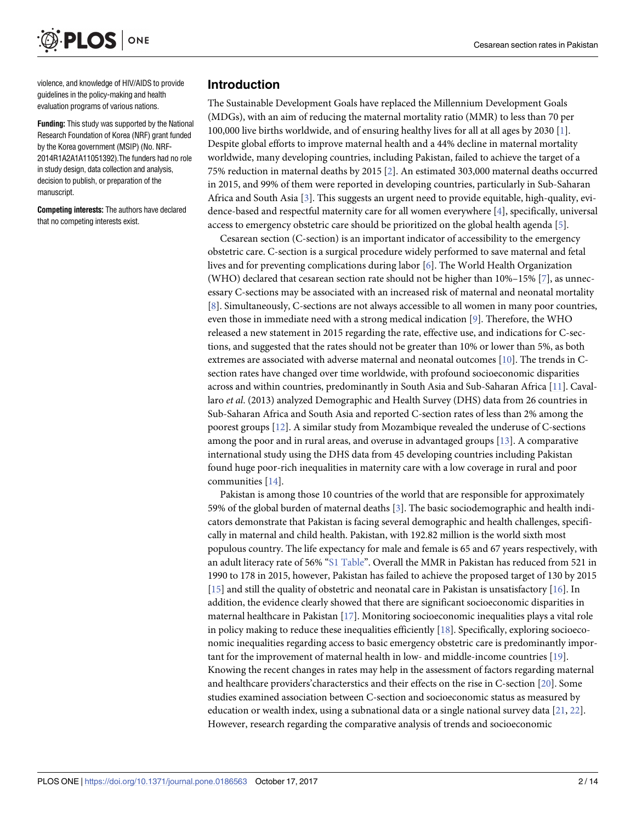<span id="page-1-0"></span>**PLOS** ONE

violence, and knowledge of HIV/AIDS to provide guidelines in the policy-making and health evaluation programs of various nations.

**Funding:** This study was supported by the National Research Foundation of Korea (NRF) grant funded by the Korea government (MSIP) (No. NRF-2014R1A2A1A11051392).The funders had no role in study design, data collection and analysis, decision to publish, or preparation of the manuscript.

**Competing interests:** The authors have declared that no competing interests exist.

#### **Introduction**

The Sustainable Development Goals have replaced the Millennium Development Goals (MDGs), with an aim of reducing the maternal mortality ratio (MMR) to less than 70 per 100,000 live births worldwide, and of ensuring healthy lives for all at all ages by 2030 [\[1\]](#page-11-0). Despite global efforts to improve maternal health and a 44% decline in maternal mortality worldwide, many developing countries, including Pakistan, failed to achieve the target of a 75% reduction in maternal deaths by 2015 [\[2\]](#page-11-0). An estimated 303,000 maternal deaths occurred in 2015, and 99% of them were reported in developing countries, particularly in Sub-Saharan Africa and South Asia [[3\]](#page-11-0). This suggests an urgent need to provide equitable, high-quality, evidence-based and respectful maternity care for all women everywhere [[4](#page-11-0)], specifically, universal access to emergency obstetric care should be prioritized on the global health agenda [[5](#page-11-0)].

Cesarean section (C-section) is an important indicator of accessibility to the emergency obstetric care. C-section is a surgical procedure widely performed to save maternal and fetal lives and for preventing complications during labor [\[6\]](#page-11-0). The World Health Organization (WHO) declared that cesarean section rate should not be higher than  $10\% - 15\%$  [[7](#page-11-0)], as unnecessary C-sections may be associated with an increased risk of maternal and neonatal mortality [\[8](#page-11-0)]. Simultaneously, C-sections are not always accessible to all women in many poor countries, even those in immediate need with a strong medical indication [\[9\]](#page-11-0). Therefore, the WHO released a new statement in 2015 regarding the rate, effective use, and indications for C-sections, and suggested that the rates should not be greater than 10% or lower than 5%, as both extremes are associated with adverse maternal and neonatal outcomes [\[10\]](#page-11-0). The trends in Csection rates have changed over time worldwide, with profound socioeconomic disparities across and within countries, predominantly in South Asia and Sub-Saharan Africa [\[11\]](#page-11-0). Cavallaro *et al*. (2013) analyzed Demographic and Health Survey (DHS) data from 26 countries in Sub-Saharan Africa and South Asia and reported C-section rates of less than 2% among the poorest groups [\[12\]](#page-11-0). A similar study from Mozambique revealed the underuse of C-sections among the poor and in rural areas, and overuse in advantaged groups [\[13\]](#page-11-0). A comparative international study using the DHS data from 45 developing countries including Pakistan found huge poor-rich inequalities in maternity care with a low coverage in rural and poor communities [\[14\]](#page-11-0).

Pakistan is among those 10 countries of the world that are responsible for approximately 59% of the global burden of maternal deaths [\[3\]](#page-11-0). The basic sociodemographic and health indicators demonstrate that Pakistan is facing several demographic and health challenges, specifically in maternal and child health. Pakistan, with 192.82 million is the world sixth most populous country. The life expectancy for male and female is 65 and 67 years respectively, with an adult literacy rate of 56% "S1 [Table"](#page-10-0). Overall the MMR in Pakistan has reduced from 521 in 1990 to 178 in 2015, however, Pakistan has failed to achieve the proposed target of 130 by 2015 [\[15\]](#page-12-0) and still the quality of obstetric and neonatal care in Pakistan is unsatisfactory [\[16\]](#page-12-0). In addition, the evidence clearly showed that there are significant socioeconomic disparities in maternal healthcare in Pakistan [\[17\]](#page-12-0). Monitoring socioeconomic inequalities plays a vital role in policy making to reduce these inequalities efficiently  $[18]$  $[18]$ . Specifically, exploring socioeconomic inequalities regarding access to basic emergency obstetric care is predominantly important for the improvement of maternal health in low- and middle-income countries [\[19\]](#page-12-0). Knowing the recent changes in rates may help in the assessment of factors regarding maternal and healthcare providers'characterstics and their effects on the rise in C-section [\[20\]](#page-12-0). Some studies examined association between C-section and socioeconomic status as measured by education or wealth index, using a subnational data or a single national survey data [\[21](#page-12-0), [22](#page-12-0)]. However, research regarding the comparative analysis of trends and socioeconomic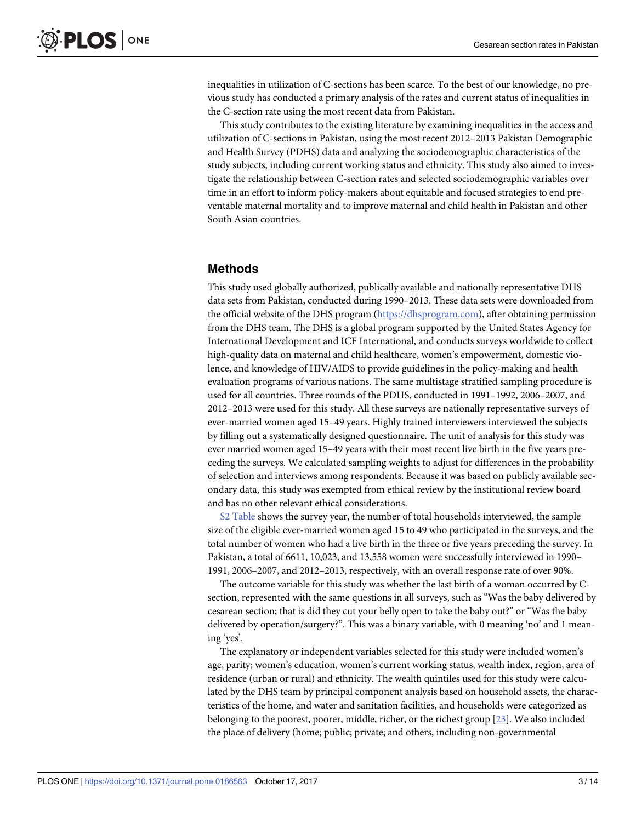<span id="page-2-0"></span>inequalities in utilization of C-sections has been scarce. To the best of our knowledge, no previous study has conducted a primary analysis of the rates and current status of inequalities in the C-section rate using the most recent data from Pakistan.

This study contributes to the existing literature by examining inequalities in the access and utilization of C-sections in Pakistan, using the most recent 2012–2013 Pakistan Demographic and Health Survey (PDHS) data and analyzing the sociodemographic characteristics of the study subjects, including current working status and ethnicity. This study also aimed to investigate the relationship between C-section rates and selected sociodemographic variables over time in an effort to inform policy-makers about equitable and focused strategies to end preventable maternal mortality and to improve maternal and child health in Pakistan and other South Asian countries.

#### **Methods**

This study used globally authorized, publically available and nationally representative DHS data sets from Pakistan, conducted during 1990–2013. These data sets were downloaded from the official website of the DHS program [\(https://dhsprogram.com\)](https://dhsprogram.com/), after obtaining permission from the DHS team. The DHS is a global program supported by the United States Agency for International Development and ICF International, and conducts surveys worldwide to collect high-quality data on maternal and child healthcare, women's empowerment, domestic violence, and knowledge of HIV/AIDS to provide guidelines in the policy-making and health evaluation programs of various nations. The same multistage stratified sampling procedure is used for all countries. Three rounds of the PDHS, conducted in 1991–1992, 2006–2007, and 2012–2013 were used for this study. All these surveys are nationally representative surveys of ever-married women aged 15–49 years. Highly trained interviewers interviewed the subjects by filling out a systematically designed questionnaire. The unit of analysis for this study was ever married women aged 15–49 years with their most recent live birth in the five years preceding the surveys. We calculated sampling weights to adjust for differences in the probability of selection and interviews among respondents. Because it was based on publicly available secondary data, this study was exempted from ethical review by the institutional review board and has no other relevant ethical considerations.

S2 [Table](#page-10-0) shows the survey year, the number of total households interviewed, the sample size of the eligible ever-married women aged 15 to 49 who participated in the surveys, and the total number of women who had a live birth in the three or five years preceding the survey. In Pakistan, a total of 6611, 10,023, and 13,558 women were successfully interviewed in 1990– 1991, 2006–2007, and 2012–2013, respectively, with an overall response rate of over 90%.

The outcome variable for this study was whether the last birth of a woman occurred by Csection, represented with the same questions in all surveys, such as "Was the baby delivered by cesarean section; that is did they cut your belly open to take the baby out?" or "Was the baby delivered by operation/surgery?". This was a binary variable, with 0 meaning 'no' and 1 meaning 'yes'.

The explanatory or independent variables selected for this study were included women's age, parity; women's education, women's current working status, wealth index, region, area of residence (urban or rural) and ethnicity. The wealth quintiles used for this study were calculated by the DHS team by principal component analysis based on household assets, the characteristics of the home, and water and sanitation facilities, and households were categorized as belonging to the poorest, poorer, middle, richer, or the richest group [[23](#page-12-0)]. We also included the place of delivery (home; public; private; and others, including non-governmental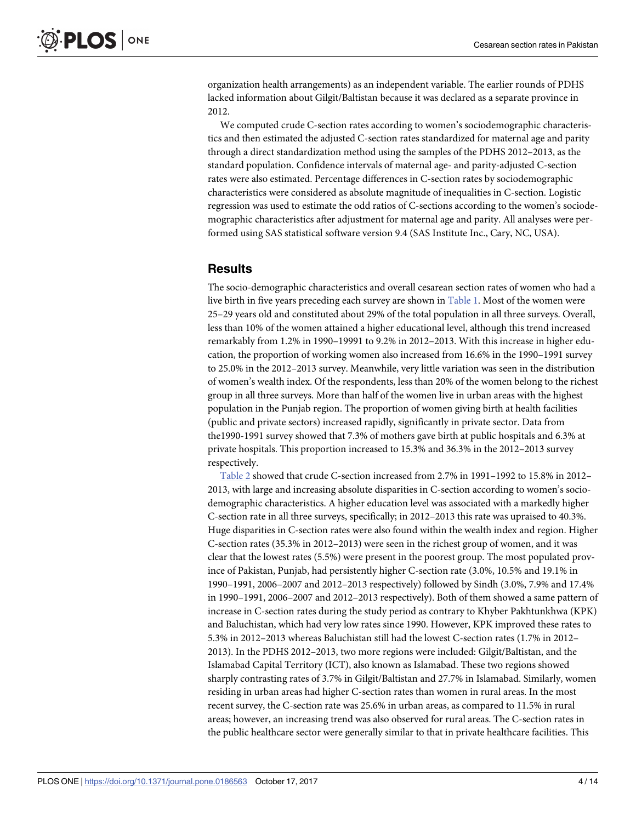<span id="page-3-0"></span>organization health arrangements) as an independent variable. The earlier rounds of PDHS lacked information about Gilgit/Baltistan because it was declared as a separate province in 2012.

We computed crude C-section rates according to women's sociodemographic characteristics and then estimated the adjusted C-section rates standardized for maternal age and parity through a direct standardization method using the samples of the PDHS 2012–2013, as the standard population. Confidence intervals of maternal age- and parity-adjusted C-section rates were also estimated. Percentage differences in C-section rates by sociodemographic characteristics were considered as absolute magnitude of inequalities in C-section. Logistic regression was used to estimate the odd ratios of C-sections according to the women's sociodemographic characteristics after adjustment for maternal age and parity. All analyses were performed using SAS statistical software version 9.4 (SAS Institute Inc., Cary, NC, USA).

#### **Results**

The socio-demographic characteristics and overall cesarean section rates of women who had a live birth in five years preceding each survey are shown in [Table](#page-4-0) 1. Most of the women were 25–29 years old and constituted about 29% of the total population in all three surveys. Overall, less than 10% of the women attained a higher educational level, although this trend increased remarkably from 1.2% in 1990–19991 to 9.2% in 2012–2013. With this increase in higher education, the proportion of working women also increased from 16.6% in the 1990–1991 survey to 25.0% in the 2012–2013 survey. Meanwhile, very little variation was seen in the distribution of women's wealth index. Of the respondents, less than 20% of the women belong to the richest group in all three surveys. More than half of the women live in urban areas with the highest population in the Punjab region. The proportion of women giving birth at health facilities (public and private sectors) increased rapidly, significantly in private sector. Data from the1990-1991 survey showed that 7.3% of mothers gave birth at public hospitals and 6.3% at private hospitals. This proportion increased to 15.3% and 36.3% in the 2012–2013 survey respectively.

[Table](#page-6-0) 2 showed that crude C-section increased from 2.7% in 1991–1992 to 15.8% in 2012– 2013, with large and increasing absolute disparities in C-section according to women's sociodemographic characteristics. A higher education level was associated with a markedly higher C-section rate in all three surveys, specifically; in 2012–2013 this rate was upraised to 40.3%. Huge disparities in C-section rates were also found within the wealth index and region. Higher C-section rates (35.3% in 2012–2013) were seen in the richest group of women, and it was clear that the lowest rates (5.5%) were present in the poorest group. The most populated province of Pakistan, Punjab, had persistently higher C-section rate (3.0%, 10.5% and 19.1% in 1990–1991, 2006–2007 and 2012–2013 respectively) followed by Sindh (3.0%, 7.9% and 17.4% in 1990–1991, 2006–2007 and 2012–2013 respectively). Both of them showed a same pattern of increase in C-section rates during the study period as contrary to Khyber Pakhtunkhwa (KPK) and Baluchistan, which had very low rates since 1990. However, KPK improved these rates to 5.3% in 2012–2013 whereas Baluchistan still had the lowest C-section rates (1.7% in 2012– 2013). In the PDHS 2012–2013, two more regions were included: Gilgit/Baltistan, and the Islamabad Capital Territory (ICT), also known as Islamabad. These two regions showed sharply contrasting rates of 3.7% in Gilgit/Baltistan and 27.7% in Islamabad. Similarly, women residing in urban areas had higher C-section rates than women in rural areas. In the most recent survey, the C-section rate was 25.6% in urban areas, as compared to 11.5% in rural areas; however, an increasing trend was also observed for rural areas. The C-section rates in the public healthcare sector were generally similar to that in private healthcare facilities. This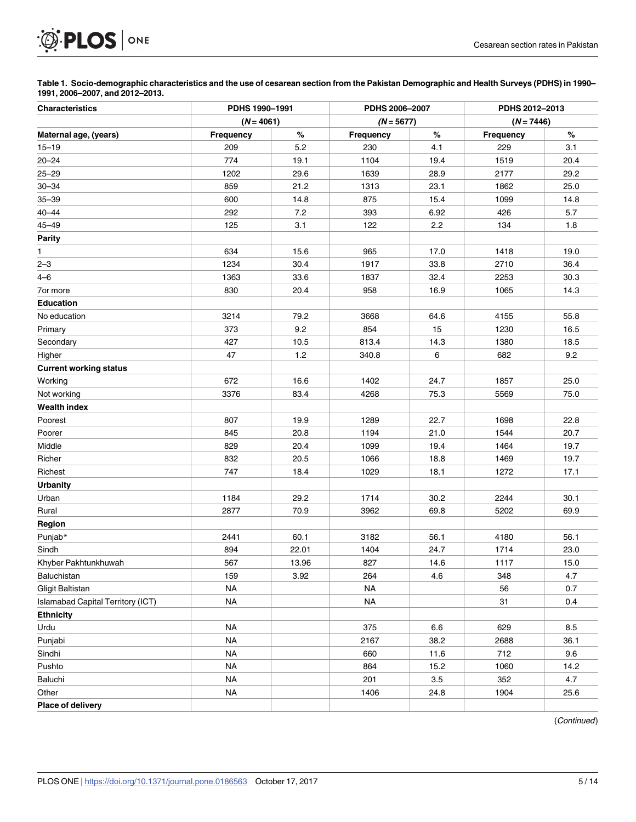<span id="page-4-0"></span>

[Table](#page-3-0) 1. Socio-demographic characteristics and the use of cesarean section from the Pakistan Demographic and Health Surveys (PDHS) in 1990-**1991, 2006–2007, and 2012–2013.**

| <b>Characteristics</b>                   | PDHS 1990-1991 |       | PDHS 2006-2007 |         | PDHS 2012-2013<br>$(N = 7446)$ |      |
|------------------------------------------|----------------|-------|----------------|---------|--------------------------------|------|
|                                          | $(N = 4061)$   |       | $(N = 5677)$   |         |                                |      |
| Maternal age, (years)                    | Frequency      | $\%$  | Frequency      | $\%$    | Frequency                      | %    |
| $15 - 19$                                | 209            | 5.2   | 230            | 4.1     | 229                            | 3.1  |
| $20 - 24$                                | 774            | 19.1  | 1104           | 19.4    | 1519                           | 20.4 |
| $25 - 29$                                | 1202           | 29.6  | 1639           | 28.9    | 2177                           | 29.2 |
| $30 - 34$                                | 859            | 21.2  | 1313           | 23.1    | 1862                           | 25.0 |
| $35 - 39$                                | 600            | 14.8  | 875            | 15.4    | 1099                           | 14.8 |
| $40 - 44$                                | 292            | 7.2   | 393            | 6.92    | 426                            | 5.7  |
| $45 - 49$                                | 125            | 3.1   | 122            | $2.2\,$ | 134                            | 1.8  |
| <b>Parity</b>                            |                |       |                |         |                                |      |
| 1                                        | 634            | 15.6  | 965            | 17.0    | 1418                           | 19.0 |
| $2 - 3$                                  | 1234           | 30.4  | 1917           | 33.8    | 2710                           | 36.4 |
| $4 - 6$                                  | 1363           | 33.6  | 1837           | 32.4    | 2253                           | 30.3 |
| 7or more                                 | 830            | 20.4  | 958            | 16.9    | 1065                           | 14.3 |
| <b>Education</b>                         |                |       |                |         |                                |      |
| No education                             | 3214           | 79.2  | 3668           | 64.6    | 4155                           | 55.8 |
| Primary                                  | 373            | 9.2   | 854            | 15      | 1230                           | 16.5 |
| Secondary                                | 427            | 10.5  | 813.4          | 14.3    | 1380                           | 18.5 |
| Higher                                   | 47             | 1.2   | 340.8          | 6       | 682                            | 9.2  |
| <b>Current working status</b>            |                |       |                |         |                                |      |
| Working                                  | 672            | 16.6  | 1402           | 24.7    | 1857                           | 25.0 |
| Not working                              | 3376           | 83.4  | 4268           | 75.3    | 5569                           | 75.0 |
| <b>Wealth index</b>                      |                |       |                |         |                                |      |
| Poorest                                  | 807            | 19.9  | 1289           | 22.7    | 1698                           | 22.8 |
| Poorer                                   | 845            | 20.8  | 1194           | 21.0    | 1544                           | 20.7 |
| Middle                                   | 829            | 20.4  | 1099           | 19.4    | 1464                           | 19.7 |
| Richer                                   | 832            | 20.5  | 1066           | 18.8    | 1469                           | 19.7 |
| Richest                                  | 747            | 18.4  | 1029           | 18.1    | 1272                           | 17.1 |
| <b>Urbanity</b>                          |                |       |                |         |                                |      |
| Urban                                    | 1184           | 29.2  | 1714           | 30.2    | 2244                           | 30.1 |
| Rural                                    | 2877           | 70.9  | 3962           | 69.8    | 5202                           | 69.9 |
| Region                                   |                |       |                |         |                                |      |
| Punjab*                                  | 2441           | 60.1  | 3182           | 56.1    | 4180                           | 56.1 |
| Sindh                                    | 894            | 22.01 | 1404           | 24.7    | 1714                           | 23.0 |
| Khyber Pakhtunkhuwah                     | 567            | 13.96 | 827            | 14.6    | 1117                           | 15.0 |
| Baluchistan                              | 159            | 3.92  | 264            | 4.6     | 348                            | 4.7  |
| Gligit Baltistan                         | <b>NA</b>      |       | <b>NA</b>      |         | 56                             | 0.7  |
| <b>Islamabad Capital Territory (ICT)</b> | <b>NA</b>      |       | <b>NA</b>      |         | 31                             | 0.4  |
| <b>Ethnicity</b>                         |                |       |                |         |                                |      |
| Urdu                                     | <b>NA</b>      |       | 375            | 6.6     | 629                            | 8.5  |
| Punjabi                                  | <b>NA</b>      |       | 2167           | 38.2    | 2688                           | 36.1 |
| Sindhi                                   | <b>NA</b>      |       | 660            | 11.6    | 712                            | 9.6  |
| Pushto                                   | <b>NA</b>      |       | 864            | 15.2    | 1060                           | 14.2 |
| Baluchi                                  | <b>NA</b>      |       | 201            | 3.5     | 352                            | 4.7  |
| Other                                    | <b>NA</b>      |       | 1406           | 24.8    | 1904                           | 25.6 |
| Place of delivery                        |                |       |                |         |                                |      |

(Continued)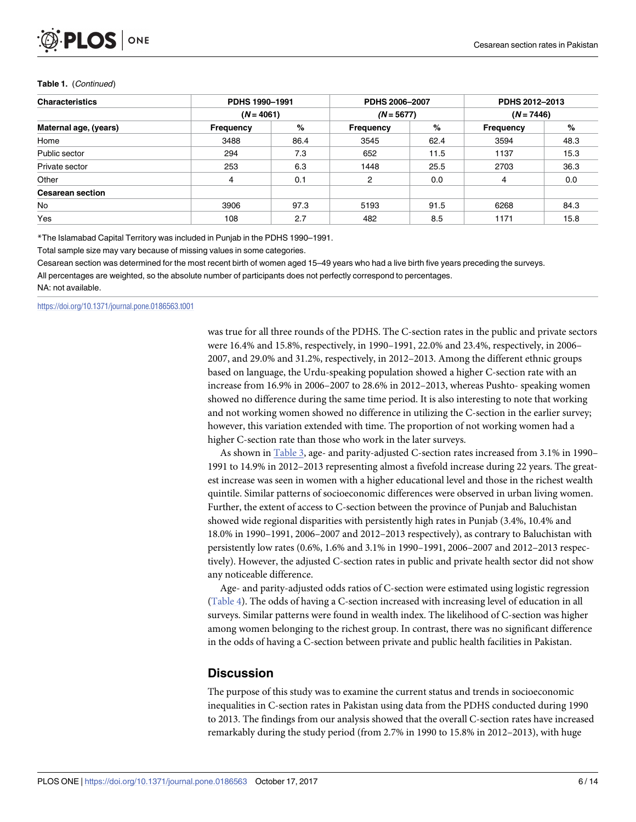#### <span id="page-5-0"></span>**Table 1.** (Continued)

| <b>Characteristics</b>  | PDHS 1990-1991 |      | PDHS 2006-2007   |      | PDHS 2012-2013<br>$(N = 7446)$ |      |
|-------------------------|----------------|------|------------------|------|--------------------------------|------|
| Maternal age, (years)   | $(N = 4061)$   |      | $(N = 5677)$     |      |                                |      |
|                         | Frequency      | %    | <b>Frequency</b> | %    | <b>Frequency</b>               | %    |
| Home                    | 3488           | 86.4 | 3545             | 62.4 | 3594                           | 48.3 |
| Public sector           | 294            | 7.3  | 652              | 11.5 | 1137                           | 15.3 |
| Private sector          | 253            | 6.3  | 1448             | 25.5 | 2703                           | 36.3 |
| Other                   | 4              | 0.1  | 2                | 0.0  | 4                              | 0.0  |
| <b>Cesarean section</b> |                |      |                  |      |                                |      |
| No                      | 3906           | 97.3 | 5193             | 91.5 | 6268                           | 84.3 |
| Yes                     | 108            | 2.7  | 482              | 8.5  | 1171                           | 15.8 |

\*The Islamabad Capital Territory was included in Punjab in the PDHS 1990–1991.

Total sample size may vary because of missing values in some categories.

Cesarean section was determined for the most recent birth of women aged 15–49 years who had a live birth five years preceding the surveys.

All percentages are weighted, so the absolute number of participants does not perfectly correspond to percentages.

NA: not available.

<https://doi.org/10.1371/journal.pone.0186563.t001>

was true for all three rounds of the PDHS. The C-section rates in the public and private sectors were 16.4% and 15.8%, respectively, in 1990–1991, 22.0% and 23.4%, respectively, in 2006– 2007, and 29.0% and 31.2%, respectively, in 2012–2013. Among the different ethnic groups based on language, the Urdu-speaking population showed a higher C-section rate with an increase from 16.9% in 2006–2007 to 28.6% in 2012–2013, whereas Pushto- speaking women showed no difference during the same time period. It is also interesting to note that working and not working women showed no difference in utilizing the C-section in the earlier survey; however, this variation extended with time. The proportion of not working women had a higher C-section rate than those who work in the later surveys.

As shown in [Table](#page-8-0) 3, age- and parity-adjusted C-section rates increased from 3.1% in 1990– 1991 to 14.9% in 2012–2013 representing almost a fivefold increase during 22 years. The greatest increase was seen in women with a higher educational level and those in the richest wealth quintile. Similar patterns of socioeconomic differences were observed in urban living women. Further, the extent of access to C-section between the province of Punjab and Baluchistan showed wide regional disparities with persistently high rates in Punjab (3.4%, 10.4% and 18.0% in 1990–1991, 2006–2007 and 2012–2013 respectively), as contrary to Baluchistan with persistently low rates (0.6%, 1.6% and 3.1% in 1990–1991, 2006–2007 and 2012–2013 respectively). However, the adjusted C-section rates in public and private health sector did not show any noticeable difference.

Age- and parity-adjusted odds ratios of C-section were estimated using logistic regression [\(Table](#page-9-0) 4). The odds of having a C-section increased with increasing level of education in all surveys. Similar patterns were found in wealth index. The likelihood of C-section was higher among women belonging to the richest group. In contrast, there was no significant difference in the odds of having a C-section between private and public health facilities in Pakistan.

#### **Discussion**

The purpose of this study was to examine the current status and trends in socioeconomic inequalities in C-section rates in Pakistan using data from the PDHS conducted during 1990 to 2013. The findings from our analysis showed that the overall C-section rates have increased remarkably during the study period (from 2.7% in 1990 to 15.8% in 2012–2013), with huge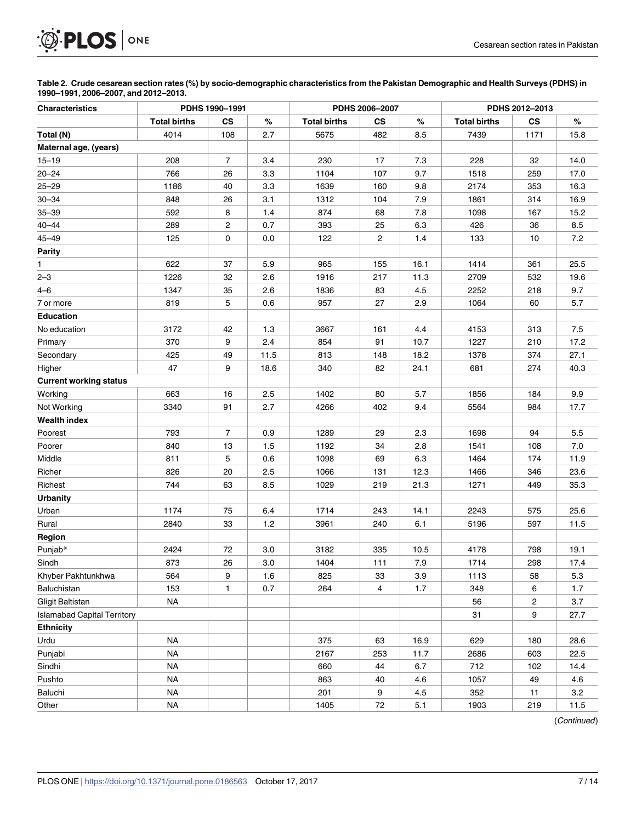<span id="page-6-0"></span>

[Table](#page-3-0) 2. Crude cesarean section rates (%) by socio-demographic characteristics from the Pakistan Demographic and Health Surveys (PDHS) in **1990–1991, 2006–2007, and 2012–2013.**

| <b>Characteristics</b>             | PDHS 1990-1991<br>PDHS 2006-2007 |               |       |                     | PDHS 2012-2013 |      |                     |           |      |
|------------------------------------|----------------------------------|---------------|-------|---------------------|----------------|------|---------------------|-----------|------|
|                                    | <b>Total births</b>              | $\mathsf{cs}$ | $\%$  | <b>Total births</b> | CS             | %    | <b>Total births</b> | <b>CS</b> | $\%$ |
| Total (N)                          | 4014                             | 108           | 2.7   | 5675                | 482            | 8.5  | 7439                | 1171      | 15.8 |
| Maternal age, (years)              |                                  |               |       |                     |                |      |                     |           |      |
| $15 - 19$                          | 208                              | 7             | 3.4   | 230                 | 17             | 7.3  | 228                 | 32        | 14.0 |
| $20 - 24$                          | 766                              | 26            | 3.3   | 1104                | 107            | 9.7  | 1518                | 259       | 17.0 |
| $25 - 29$                          | 1186                             | 40            | 3.3   | 1639                | 160            | 9.8  | 2174                | 353       | 16.3 |
| $30 - 34$                          | 848                              | 26            | 3.1   | 1312                | 104            | 7.9  | 1861                | 314       | 16.9 |
| $35 - 39$                          | 592                              | 8             | 1.4   | 874                 | 68             | 7.8  | 1098                | 167       | 15.2 |
| $40 - 44$                          | 289                              | 2             | 0.7   | 393                 | 25             | 6.3  | 426                 | 36        | 8.5  |
| $45 - 49$                          | 125                              | 0             | 0.0   | 122                 | $\overline{2}$ | 1.4  | 133                 | 10        | 7.2  |
| <b>Parity</b>                      |                                  |               |       |                     |                |      |                     |           |      |
| 1                                  | 622                              | 37            | 5.9   | 965                 | 155            | 16.1 | 1414                | 361       | 25.5 |
| $2 - 3$                            | 1226                             | 32            | 2.6   | 1916                | 217            | 11.3 | 2709                | 532       | 19.6 |
| $4 - 6$                            | 1347                             | 35            | 2.6   | 1836                | 83             | 4.5  | 2252                | 218       | 9.7  |
| 7 or more                          | 819                              | 5             | 0.6   | 957                 | 27             | 2.9  | 1064                | 60        | 5.7  |
| <b>Education</b>                   |                                  |               |       |                     |                |      |                     |           |      |
| No education                       | 3172                             | 42            | 1.3   | 3667                | 161            | 4.4  | 4153                | 313       | 7.5  |
| Primary                            | 370                              | 9             | 2.4   | 854                 | 91             | 10.7 | 1227                | 210       | 17.2 |
| Secondary                          | 425                              | 49            | 11.5  | 813                 | 148            | 18.2 | 1378                | 374       | 27.1 |
| Higher                             | 47                               | 9             | 18.6  | 340                 | 82             | 24.1 | 681                 | 274       | 40.3 |
| <b>Current working status</b>      |                                  |               |       |                     |                |      |                     |           |      |
| Working                            | 663                              | 16            | 2.5   | 1402                | 80             | 5.7  | 1856                | 184       | 9.9  |
| Not Working                        | 3340                             | 91            | 2.7   | 4266                | 402            | 9.4  | 5564                | 984       | 17.7 |
| <b>Wealth index</b>                |                                  |               |       |                     |                |      |                     |           |      |
| Poorest                            | 793                              | 7             | 0.9   | 1289                | 29             | 2.3  | 1698                | 94        | 5.5  |
| Poorer                             | 840                              | 13            | 1.5   | 1192                | 34             | 2.8  | 1541                | 108       | 7.0  |
| Middle                             | 811                              | 5             | 0.6   | 1098                | 69             | 6.3  | 1464                | 174       | 11.9 |
| Richer                             | 826                              | 20            | 2.5   | 1066                | 131            | 12.3 | 1466                | 346       | 23.6 |
| Richest                            | 744                              | 63            | 8.5   | 1029                | 219            | 21.3 | 1271                | 449       | 35.3 |
| <b>Urbanity</b>                    |                                  |               |       |                     |                |      |                     |           |      |
| Urban                              | 1174                             | 75            | 6.4   | 1714                | 243            | 14.1 | 2243                | 575       | 25.6 |
| Rural                              | 2840                             | 33            | $1.2$ | 3961                | 240            | 6.1  | 5196                | 597       | 11.5 |
| Region                             |                                  |               |       |                     |                |      |                     |           |      |
| Punjab*                            | 2424                             | 72            | 3.0   | 3182                | 335            | 10.5 | 4178                | 798       | 19.1 |
| Sindh                              | 873                              | 26            | 3.0   | 1404                | 111            | 7.9  | 1714                | 298       | 17.4 |
| Khyber Pakhtunkhwa                 | 564                              | 9             | 1.6   | 825                 | 33             | 3.9  | 1113                | 58        | 5.3  |
| Baluchistan                        | 153                              | $\mathbf{1}$  | 0.7   | 264                 | $\overline{4}$ | 1.7  | 348                 | 6         | 1.7  |
| <b>Gligit Baltistan</b>            | <b>NA</b>                        |               |       |                     |                |      | 56                  | 2         | 3.7  |
| <b>Islamabad Capital Territory</b> |                                  |               |       |                     |                |      | 31                  | 9         | 27.7 |
| <b>Ethnicity</b>                   |                                  |               |       |                     |                |      |                     |           |      |
| Urdu                               | <b>NA</b>                        |               |       | 375                 | 63             | 16.9 | 629                 | 180       | 28.6 |
| Punjabi                            | <b>NA</b>                        |               |       | 2167                | 253            | 11.7 | 2686                | 603       | 22.5 |
| Sindhi                             | <b>NA</b>                        |               |       | 660                 | 44             | 6.7  | 712                 | 102       | 14.4 |
| Pushto                             | <b>NA</b>                        |               |       | 863                 | 40             | 4.6  | 1057                | 49        | 4.6  |
| Baluchi                            | <b>NA</b>                        |               |       | 201                 | 9              | 4.5  | 352                 | 11        | 3.2  |
| Other                              | <b>NA</b>                        |               |       | 1405                | 72             | 5.1  | 1903                | 219       | 11.5 |

(Continued)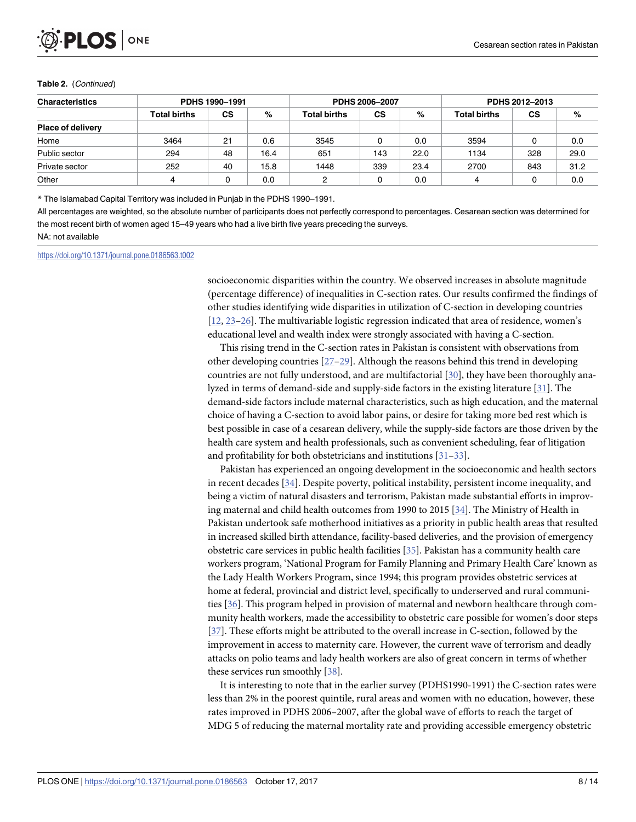<span id="page-7-0"></span>

#### **Table 2.** (Continued)

| <b>Characteristics</b><br>PDHS 1990-1991 |                     |           | PDHS 2006-2007 |                     |           | PDHS 2012-2013 |                     |           |      |
|------------------------------------------|---------------------|-----------|----------------|---------------------|-----------|----------------|---------------------|-----------|------|
|                                          | <b>Total births</b> | <b>CS</b> | %              | <b>Total births</b> | <b>CS</b> | %              | <b>Total births</b> | <b>CS</b> | %    |
| <b>Place of delivery</b>                 |                     |           |                |                     |           |                |                     |           |      |
| Home                                     | 3464                | 21        | 0.6            | 3545                | υ         | 0.0            | 3594                | 0         | 0.0  |
| Public sector                            | 294                 | 48        | 16.4           | 651                 | 143       | 22.0           | 1134                | 328       | 29.0 |
| Private sector                           | 252                 | 40        | 15.8           | 1448                | 339       | 23.4           | 2700                | 843       | 31.2 |
| Other                                    |                     |           | 0.0            | 2                   |           | 0.0            | 4                   | 0         | 0.0  |

\* The Islamabad Capital Territory was included in Punjab in the PDHS 1990–1991.

All percentages are weighted, so the absolute number of participants does not perfectly correspond to percentages. Cesarean section was determined for the most recent birth of women aged 15–49 years who had a live birth five years preceding the surveys.

NA: not available

<https://doi.org/10.1371/journal.pone.0186563.t002>

socioeconomic disparities within the country. We observed increases in absolute magnitude (percentage difference) of inequalities in C-section rates. Our results confirmed the findings of other studies identifying wide disparities in utilization of C-section in developing countries [\[12,](#page-11-0) [23–26\]](#page-12-0). The multivariable logistic regression indicated that area of residence, women's educational level and wealth index were strongly associated with having a C-section.

This rising trend in the C-section rates in Pakistan is consistent with observations from other developing countries  $[27-29]$ . Although the reasons behind this trend in developing countries are not fully understood, and are multifactorial [[30](#page-12-0)], they have been thoroughly analyzed in terms of demand-side and supply-side factors in the existing literature [\[31\]](#page-12-0). The demand-side factors include maternal characteristics, such as high education, and the maternal choice of having a C-section to avoid labor pains, or desire for taking more bed rest which is best possible in case of a cesarean delivery, while the supply-side factors are those driven by the health care system and health professionals, such as convenient scheduling, fear of litigation and profitability for both obstetricians and institutions [\[31–33\]](#page-12-0).

Pakistan has experienced an ongoing development in the socioeconomic and health sectors in recent decades [\[34\]](#page-12-0). Despite poverty, political instability, persistent income inequality, and being a victim of natural disasters and terrorism, Pakistan made substantial efforts in improving maternal and child health outcomes from 1990 to 2015 [\[34\]](#page-12-0). The Ministry of Health in Pakistan undertook safe motherhood initiatives as a priority in public health areas that resulted in increased skilled birth attendance, facility-based deliveries, and the provision of emergency obstetric care services in public health facilities [\[35\]](#page-12-0). Pakistan has a community health care workers program, 'National Program for Family Planning and Primary Health Care' known as the Lady Health Workers Program, since 1994; this program provides obstetric services at home at federal, provincial and district level, specifically to underserved and rural communities [\[36\]](#page-13-0). This program helped in provision of maternal and newborn healthcare through community health workers, made the accessibility to obstetric care possible for women's door steps [\[37\]](#page-13-0). These efforts might be attributed to the overall increase in C-section, followed by the improvement in access to maternity care. However, the current wave of terrorism and deadly attacks on polio teams and lady health workers are also of great concern in terms of whether these services run smoothly [\[38\]](#page-13-0).

It is interesting to note that in the earlier survey (PDHS1990-1991) the C-section rates were less than 2% in the poorest quintile, rural areas and women with no education, however, these rates improved in PDHS 2006–2007, after the global wave of efforts to reach the target of MDG 5 of reducing the maternal mortality rate and providing accessible emergency obstetric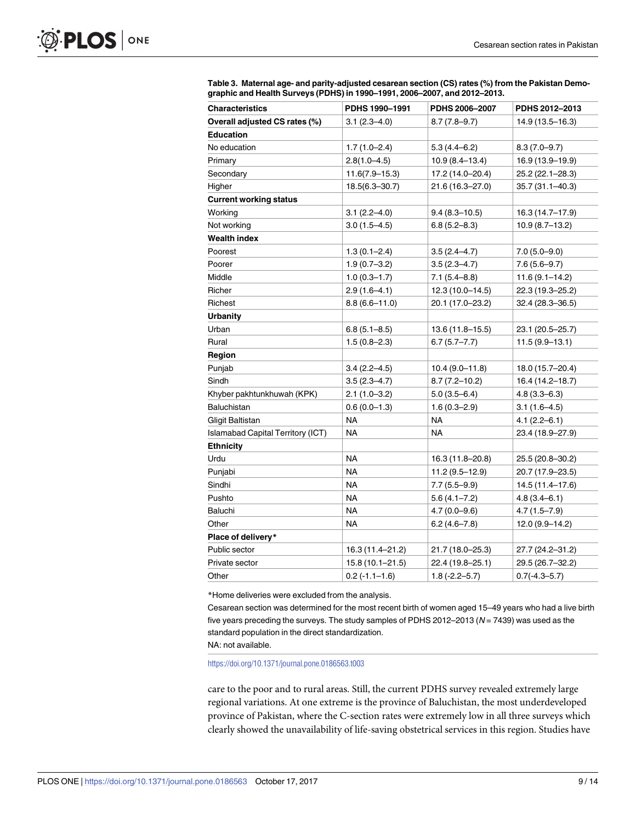| <b>Characteristics</b>                   | PDHS 1990-1991      | PDHS 2006-2007      | PDHS 2012-2013      |
|------------------------------------------|---------------------|---------------------|---------------------|
| Overall adjusted CS rates (%)            | $3.1(2.3 - 4.0)$    | $8.7(7.8-9.7)$      | 14.9 (13.5-16.3)    |
| <b>Education</b>                         |                     |                     |                     |
| No education                             | $1.7(1.0-2.4)$      | $5.3(4.4 - 6.2)$    | $8.3(7.0-9.7)$      |
| Primary                                  | $2.8(1.0 - 4.5)$    | $10.9(8.4 - 13.4)$  | 16.9 (13.9-19.9)    |
| Secondary                                | $11.6(7.9 - 15.3)$  | 17.2 (14.0–20.4)    | 25.2 (22.1-28.3)    |
| Higher                                   | $18.5(6.3 - 30.7)$  | $21.6(16.3 - 27.0)$ | 35.7 (31.1–40.3)    |
| <b>Current working status</b>            |                     |                     |                     |
| Working                                  | $3.1(2.2 - 4.0)$    | $9.4(8.3 - 10.5)$   | 16.3 (14.7–17.9)    |
| Not working                              | $3.0(1.5 - 4.5)$    | $6.8(5.2 - 8.3)$    | $10.9(8.7-13.2)$    |
| <b>Wealth index</b>                      |                     |                     |                     |
| Poorest                                  | $1.3(0.1 - 2.4)$    | $3.5(2.4 - 4.7)$    | $7.0(5.0-9.0)$      |
| Poorer                                   | $1.9(0.7 - 3.2)$    | $3.5(2.3 - 4.7)$    | $7.6(5.6 - 9.7)$    |
| Middle                                   | $1.0(0.3 - 1.7)$    | $7.1(5.4 - 8.8)$    | $11.6(9.1 - 14.2)$  |
| Richer                                   | $2.9(1.6-4.1)$      | 12.3 (10.0-14.5)    | 22.3 (19.3-25.2)    |
| Richest                                  | $8.8(6.6 - 11.0)$   | 20.1 (17.0-23.2)    | $32.4(28.3 - 36.5)$ |
| <b>Urbanity</b>                          |                     |                     |                     |
| Urban                                    | $6.8(5.1 - 8.5)$    | 13.6 (11.8-15.5)    | 23.1 (20.5-25.7)    |
| Rural                                    | $1.5(0.8 - 2.3)$    | $6.7(5.7 - 7.7)$    | $11.5(9.9-13.1)$    |
| Region                                   |                     |                     |                     |
| Punjab                                   | $3.4(2.2 - 4.5)$    | 10.4 (9.0–11.8)     | 18.0 (15.7–20.4)    |
| Sindh                                    | $3.5(2.3 - 4.7)$    | $8.7(7.2 - 10.2)$   | 16.4 (14.2-18.7)    |
| Khyber pakhtunkhuwah (KPK)               | $2.1(1.0-3.2)$      | $5.0(3.5-6.4)$      | $4.8(3.3 - 6.3)$    |
| <b>Baluchistan</b>                       | $0.6(0.0-1.3)$      | $1.6(0.3 - 2.9)$    | $3.1(1.6-4.5)$      |
| <b>Gligit Baltistan</b>                  | <b>NA</b>           | <b>NA</b>           | $4.1(2.2 - 6.1)$    |
| <b>Islamabad Capital Territory (ICT)</b> | NA                  | <b>NA</b>           | 23.4 (18.9-27.9)    |
| <b>Ethnicity</b>                         |                     |                     |                     |
| Urdu                                     | <b>NA</b>           | 16.3 (11.8-20.8)    | 25.5 (20.8-30.2)    |
| Punjabi                                  | <b>NA</b>           | 11.2 (9.5-12.9)     | 20.7 (17.9-23.5)    |
| Sindhi                                   | <b>NA</b>           | $7.7(5.5 - 9.9)$    | 14.5 (11.4-17.6)    |
| Pushto                                   | <b>NA</b>           | $5.6(4.1 - 7.2)$    | $4.8(3.4 - 6.1)$    |
| Baluchi                                  | <b>NA</b>           | $4.7(0.0 - 9.6)$    | $4.7(1.5 - 7.9)$    |
| Other                                    | <b>NA</b>           | $6.2(4.6 - 7.8)$    | 12.0 (9.9–14.2)     |
| Place of delivery*                       |                     |                     |                     |
| Public sector                            | 16.3 (11.4-21.2)    | 21.7 (18.0–25.3)    | 27.7 (24.2–31.2)    |
| Private sector                           | $15.8(10.1 - 21.5)$ | 22.4 (19.8-25.1)    | 29.5 (26.7-32.2)    |
| Other                                    | $0.2(-1.1-1.6)$     | $1.8(-2.2 - 5.7)$   | $0.7(-4.3 - 5.7)$   |

<span id="page-8-0"></span>**[Table](#page-5-0) 3. Maternal age- and parity-adjusted cesarean section (CS) rates (%) from the Pakistan Demographic and Health Surveys (PDHS) in 1990–1991, 2006–2007, and 2012–2013.**

\*Home deliveries were excluded from the analysis.

Cesarean section was determined for the most recent birth of women aged 15–49 years who had a live birth five years preceding the surveys. The study samples of PDHS 2012–2013 ( $N = 7439$ ) was used as the standard population in the direct standardization.

NA: not available.

<https://doi.org/10.1371/journal.pone.0186563.t003>

care to the poor and to rural areas. Still, the current PDHS survey revealed extremely large regional variations. At one extreme is the province of Baluchistan, the most underdeveloped province of Pakistan, where the C-section rates were extremely low in all three surveys which clearly showed the unavailability of life-saving obstetrical services in this region. Studies have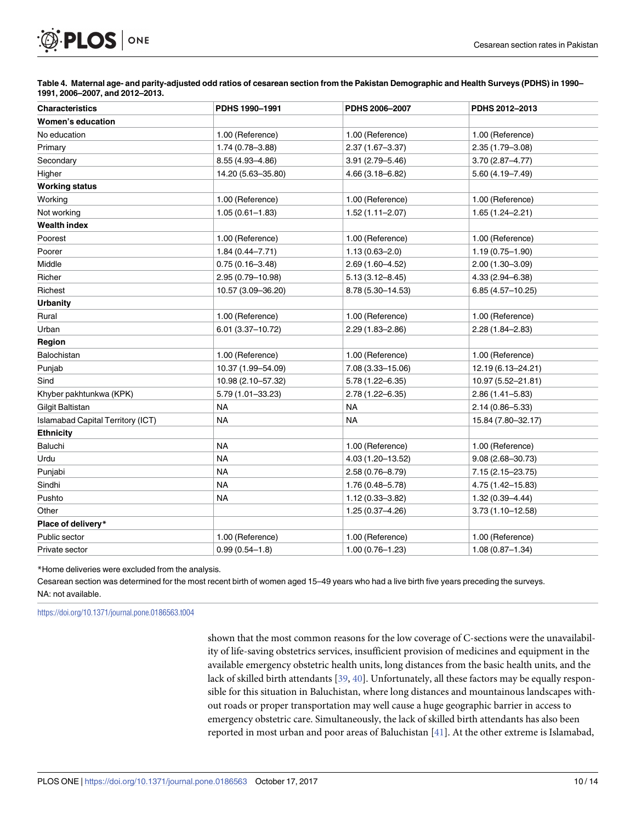# <span id="page-9-0"></span>PLOS ONE

[Table](#page-5-0) 4. Maternal age- and parity-adjusted odd ratios of cesarean section from the Pakistan Demographic and Health Surveys (PDHS) in 1990-**1991, 2006–2007, and 2012–2013.**

| <b>Characteristics</b>                   | PDHS 1990-1991       | PDHS 2006-2007      | PDHS 2012-2013       |  |  |
|------------------------------------------|----------------------|---------------------|----------------------|--|--|
| Women's education                        |                      |                     |                      |  |  |
| No education                             | 1.00 (Reference)     | 1.00 (Reference)    | 1.00 (Reference)     |  |  |
| Primary                                  | 1.74 (0.78-3.88)     | $2.37(1.67 - 3.37)$ | $2.35(1.79 - 3.08)$  |  |  |
| Secondary                                | 8.55 (4.93-4.86)     | $3.91(2.79 - 5.46)$ | $3.70(2.87 - 4.77)$  |  |  |
| Higher                                   | 14.20 (5.63-35.80)   | $4.66(3.18 - 6.82)$ | $5.60(4.19 - 7.49)$  |  |  |
| <b>Working status</b>                    |                      |                     |                      |  |  |
| Working                                  | 1.00 (Reference)     | 1.00 (Reference)    | 1.00 (Reference)     |  |  |
| Not working                              | $1.05(0.61 - 1.83)$  | $1.52(1.11 - 2.07)$ | $1.65(1.24 - 2.21)$  |  |  |
| <b>Wealth index</b>                      |                      |                     |                      |  |  |
| Poorest                                  | 1.00 (Reference)     | 1.00 (Reference)    | 1.00 (Reference)     |  |  |
| Poorer                                   | $1.84(0.44 - 7.71)$  | $1.13(0.63 - 2.0)$  | $1.19(0.75 - 1.90)$  |  |  |
| Middle                                   | $0.75(0.16 - 3.48)$  | $2.69(1.60 - 4.52)$ | $2.00(1.30 - 3.09)$  |  |  |
| Richer                                   | 2.95 (0.79-10.98)    | $5.13(3.12 - 8.45)$ | $4.33(2.94 - 6.38)$  |  |  |
| Richest                                  | 10.57 (3.09-36.20)   | 8.78 (5.30-14.53)   | $6.85(4.57 - 10.25)$ |  |  |
| <b>Urbanity</b>                          |                      |                     |                      |  |  |
| Rural                                    | 1.00 (Reference)     | 1.00 (Reference)    | 1.00 (Reference)     |  |  |
| Urban                                    | $6.01(3.37 - 10.72)$ | $2.29(1.83 - 2.86)$ | $2.28(1.84 - 2.83)$  |  |  |
| Region                                   |                      |                     |                      |  |  |
| Balochistan                              | 1.00 (Reference)     | 1.00 (Reference)    | 1.00 (Reference)     |  |  |
| Punjab                                   | 10.37 (1.99-54.09)   | 7.08 (3.33-15.06)   | 12.19 (6.13-24.21)   |  |  |
| Sind                                     | 10.98 (2.10-57.32)   | $5.78(1.22 - 6.35)$ | 10.97 (5.52-21.81)   |  |  |
| Khyber pakhtunkwa (KPK)                  | 5.79 (1.01-33.23)    | 2.78 (1.22-6.35)    | $2.86(1.41 - 5.83)$  |  |  |
| Gilgit Baltistan                         | <b>NA</b>            | <b>NA</b>           | 2.14 (0.86-5.33)     |  |  |
| <b>Islamabad Capital Territory (ICT)</b> | <b>NA</b>            | <b>NA</b>           | 15.84 (7.80-32.17)   |  |  |
| <b>Ethnicity</b>                         |                      |                     |                      |  |  |
| Baluchi                                  | <b>NA</b>            | 1.00 (Reference)    | 1.00 (Reference)     |  |  |
| Urdu                                     | <b>NA</b>            | 4.03 (1.20-13.52)   | $9.08(2.68 - 30.73)$ |  |  |
| Punjabi                                  | <b>NA</b>            | 2.58 (0.76-8.79)    | 7.15 (2.15 - 23.75)  |  |  |
| Sindhi                                   | <b>NA</b>            | 1.76 (0.48-5.78)    | 4.75 (1.42-15.83)    |  |  |
| Pushto                                   | <b>NA</b>            | 1.12 (0.33-3.82)    | $1.32(0.39 - 4.44)$  |  |  |
| Other                                    |                      | 1.25 (0.37-4.26)    | $3.73(1.10 - 12.58)$ |  |  |
| Place of delivery*                       |                      |                     |                      |  |  |
| Public sector                            | 1.00 (Reference)     | 1.00 (Reference)    | 1.00 (Reference)     |  |  |
| Private sector                           | $0.99(0.54 - 1.8)$   | $1.00(0.76 - 1.23)$ | $1.08(0.87 - 1.34)$  |  |  |

\*Home deliveries were excluded from the analysis.

Cesarean section was determined for the most recent birth of women aged 15–49 years who had a live birth five years preceding the surveys. NA: not available.

<https://doi.org/10.1371/journal.pone.0186563.t004>

shown that the most common reasons for the low coverage of C-sections were the unavailability of life-saving obstetrics services, insufficient provision of medicines and equipment in the available emergency obstetric health units, long distances from the basic health units, and the lack of skilled birth attendants [\[39,](#page-13-0) [40\]](#page-13-0). Unfortunately, all these factors may be equally responsible for this situation in Baluchistan, where long distances and mountainous landscapes without roads or proper transportation may well cause a huge geographic barrier in access to emergency obstetric care. Simultaneously, the lack of skilled birth attendants has also been reported in most urban and poor areas of Baluchistan [\[41\]](#page-13-0). At the other extreme is Islamabad,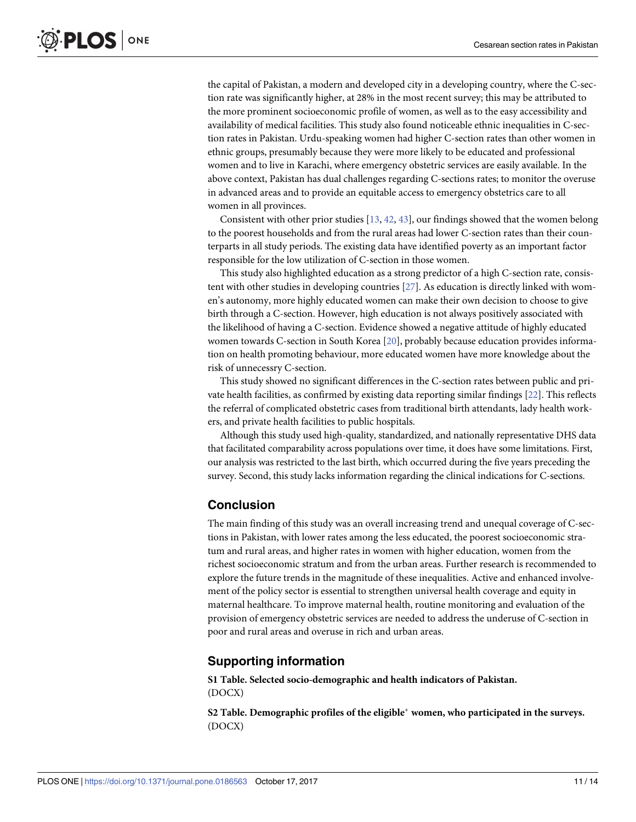<span id="page-10-0"></span>the capital of Pakistan, a modern and developed city in a developing country, where the C-section rate was significantly higher, at 28% in the most recent survey; this may be attributed to the more prominent socioeconomic profile of women, as well as to the easy accessibility and availability of medical facilities. This study also found noticeable ethnic inequalities in C-section rates in Pakistan. Urdu-speaking women had higher C-section rates than other women in ethnic groups, presumably because they were more likely to be educated and professional women and to live in Karachi, where emergency obstetric services are easily available. In the above context, Pakistan has dual challenges regarding C-sections rates; to monitor the overuse in advanced areas and to provide an equitable access to emergency obstetrics care to all women in all provinces.

Consistent with other prior studies [\[13](#page-11-0), [42](#page-13-0), [43](#page-13-0)], our findings showed that the women belong to the poorest households and from the rural areas had lower C-section rates than their counterparts in all study periods. The existing data have identified poverty as an important factor responsible for the low utilization of C-section in those women.

This study also highlighted education as a strong predictor of a high C-section rate, consistent with other studies in developing countries [\[27\]](#page-12-0). As education is directly linked with women's autonomy, more highly educated women can make their own decision to choose to give birth through a C-section. However, high education is not always positively associated with the likelihood of having a C-section. Evidence showed a negative attitude of highly educated women towards C-section in South Korea [\[20\]](#page-12-0), probably because education provides information on health promoting behaviour, more educated women have more knowledge about the risk of unnecessry C-section.

This study showed no significant differences in the C-section rates between public and private health facilities, as confirmed by existing data reporting similar findings [[22](#page-12-0)]. This reflects the referral of complicated obstetric cases from traditional birth attendants, lady health workers, and private health facilities to public hospitals.

Although this study used high-quality, standardized, and nationally representative DHS data that facilitated comparability across populations over time, it does have some limitations. First, our analysis was restricted to the last birth, which occurred during the five years preceding the survey. Second, this study lacks information regarding the clinical indications for C-sections.

#### **Conclusion**

The main finding of this study was an overall increasing trend and unequal coverage of C-sections in Pakistan, with lower rates among the less educated, the poorest socioeconomic stratum and rural areas, and higher rates in women with higher education, women from the richest socioeconomic stratum and from the urban areas. Further research is recommended to explore the future trends in the magnitude of these inequalities. Active and enhanced involvement of the policy sector is essential to strengthen universal health coverage and equity in maternal healthcare. To improve maternal health, routine monitoring and evaluation of the provision of emergency obstetric services are needed to address the underuse of C-section in poor and rural areas and overuse in rich and urban areas.

#### **Supporting information**

**S1 [Table.](http://www.plosone.org/article/fetchSingleRepresentation.action?uri=info:doi/10.1371/journal.pone.0186563.s001) Selected socio-demographic and health indicators of Pakistan.** (DOCX)

**S2 [Table.](http://www.plosone.org/article/fetchSingleRepresentation.action?uri=info:doi/10.1371/journal.pone.0186563.s002) Demographic profiles of the eligible women, who participated in the surveys.** (DOCX)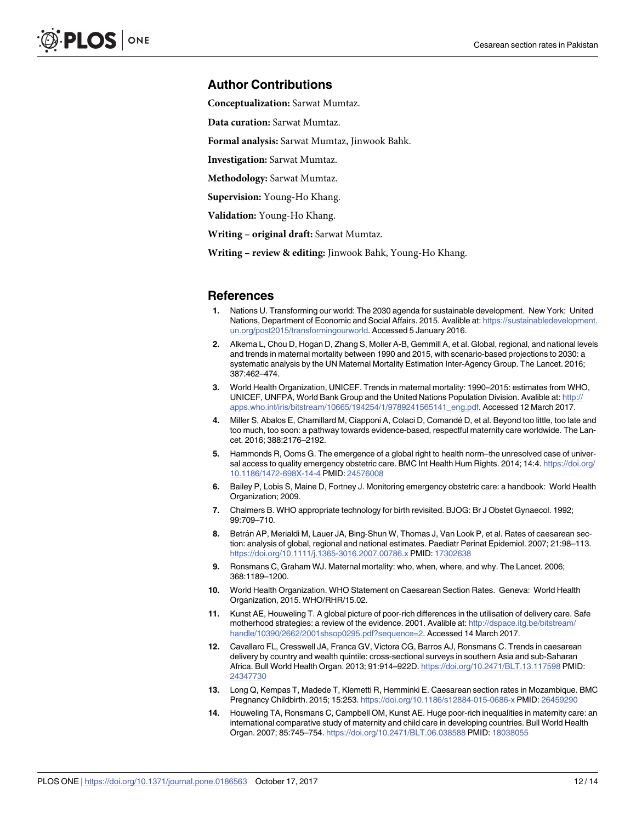#### <span id="page-11-0"></span>**Author Contributions**

**Conceptualization:** Sarwat Mumtaz.

**Data curation:** Sarwat Mumtaz.

**Formal analysis:** Sarwat Mumtaz, Jinwook Bahk.

**Investigation:** Sarwat Mumtaz.

**Methodology:** Sarwat Mumtaz.

**Supervision:** Young-Ho Khang.

**Validation:** Young-Ho Khang.

**Writing – original draft:** Sarwat Mumtaz.

**Writing – review & editing:** Jinwook Bahk, Young-Ho Khang.

#### **References**

- **[1](#page-1-0).** Nations U. Transforming our world: The 2030 agenda for sustainable development. New York: United Nations, Department of Economic and Social Affairs. 2015. Avalible at: [https://sustainabledevelopment.](https://sustainabledevelopment.un.org/post2015/transformingourworld) [un.org/post2015/transformingourworld](https://sustainabledevelopment.un.org/post2015/transformingourworld). Accessed 5 January 2016.
- **[2](#page-1-0).** Alkema L, Chou D, Hogan D, Zhang S, Moller A-B, Gemmill A, et al. Global, regional, and national levels and trends in maternal mortality between 1990 and 2015, with scenario-based projections to 2030: a systematic analysis by the UN Maternal Mortality Estimation Inter-Agency Group. The Lancet. 2016; 387:462–474.
- **[3](#page-1-0).** World Health Organization, UNICEF. Trends in maternal mortality: 1990–2015: estimates from WHO, UNICEF, UNFPA, World Bank Group and the United Nations Population Division. Avalible at: [http://](http://apps.who.int/iris/bitstream/10665/194254/1/9789241565141_eng.pdf) [apps.who.int/iris/bitstream/10665/194254/1/9789241565141\\_eng.pdf.](http://apps.who.int/iris/bitstream/10665/194254/1/9789241565141_eng.pdf) Accessed 12 March 2017.
- **[4](#page-1-0).** Miller S, Abalos E, Chamillard M, Ciapponi A, Colaci D, Comande´ D, et al. Beyond too little, too late and too much, too soon: a pathway towards evidence-based, respectful maternity care worldwide. The Lancet. 2016; 388:2176–2192.
- **[5](#page-1-0).** Hammonds R, Ooms G. The emergence of a global right to health norm–the unresolved case of universal access to quality emergency obstetric care. BMC Int Health Hum Rights. 2014; 14:4. [https://doi.org/](https://doi.org/10.1186/1472-698X-14-4) [10.1186/1472-698X-14-4](https://doi.org/10.1186/1472-698X-14-4) PMID: [24576008](http://www.ncbi.nlm.nih.gov/pubmed/24576008)
- **[6](#page-1-0).** Bailey P, Lobis S, Maine D, Fortney J. Monitoring emergency obstetric care: a handbook: World Health Organization; 2009.
- **[7](#page-1-0).** Chalmers B. WHO appropriate technology for birth revisited. BJOG: Br J Obstet Gynaecol. 1992; 99:709–710.
- **[8](#page-1-0).** Betra´n AP, Merialdi M, Lauer JA, Bing-Shun W, Thomas J, Van Look P, et al. Rates of caesarean section: analysis of global, regional and national estimates. Paediatr Perinat Epidemiol. 2007; 21:98–113. <https://doi.org/10.1111/j.1365-3016.2007.00786.x> PMID: [17302638](http://www.ncbi.nlm.nih.gov/pubmed/17302638)
- **[9](#page-1-0).** Ronsmans C, Graham WJ. Maternal mortality: who, when, where, and why. The Lancet. 2006; 368:1189–1200.
- **[10](#page-1-0).** World Health Organization. WHO Statement on Caesarean Section Rates. Geneva: World Health Organization, 2015. WHO/RHR/15.02.
- **[11](#page-1-0).** Kunst AE, Houweling T. A global picture of poor-rich differences in the utilisation of delivery care. Safe motherhood strategies: a review of the evidence. 2001. Avalible at: [http://dspace.itg.be/bitstream/](http://dspace.itg.be/bitstream/handle/10390/2662/2001shsop0295.pdf?sequence=2) [handle/10390/2662/2001shsop0295.pdf?sequence=2](http://dspace.itg.be/bitstream/handle/10390/2662/2001shsop0295.pdf?sequence=2). Accessed 14 March 2017.
- **[12](#page-1-0).** Cavallaro FL, Cresswell JA, Franca GV, Victora CG, Barros AJ, Ronsmans C. Trends in caesarean delivery by country and wealth quintile: cross-sectional surveys in southern Asia and sub-Saharan Africa. Bull World Health Organ. 2013; 91:914–922D. <https://doi.org/10.2471/BLT.13.117598> PMID: [24347730](http://www.ncbi.nlm.nih.gov/pubmed/24347730)
- **[13](#page-1-0).** Long Q, Kempas T, Madede T, Klemetti R, Hemminki E. Caesarean section rates in Mozambique. BMC Pregnancy Childbirth. 2015; 15:253. <https://doi.org/10.1186/s12884-015-0686-x> PMID: [26459290](http://www.ncbi.nlm.nih.gov/pubmed/26459290)
- **[14](#page-1-0).** Houweling TA, Ronsmans C, Campbell OM, Kunst AE. Huge poor-rich inequalities in maternity care: an international comparative study of maternity and child care in developing countries. Bull World Health Organ. 2007; 85:745–754. <https://doi.org/10.2471/BLT.06.038588> PMID: [18038055](http://www.ncbi.nlm.nih.gov/pubmed/18038055)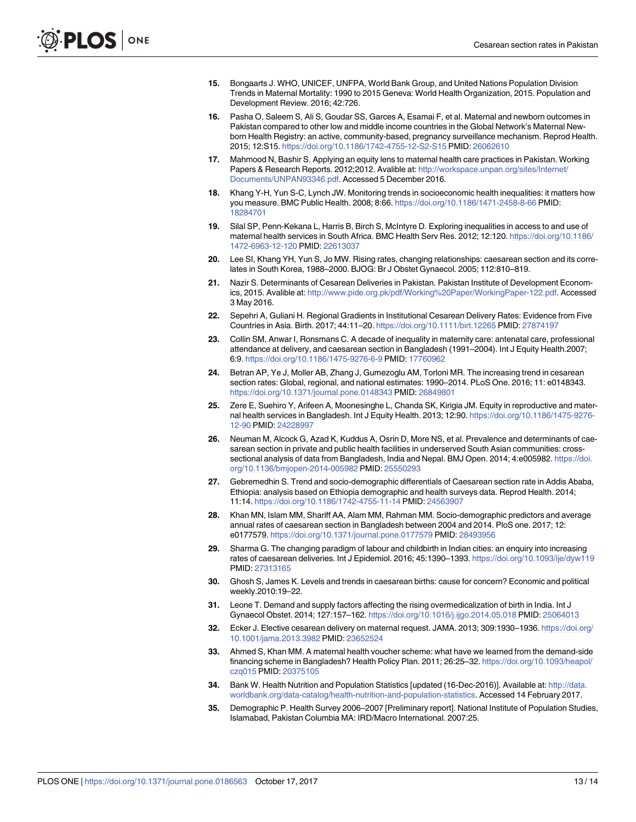- <span id="page-12-0"></span>**[15](#page-1-0).** Bongaarts J. WHO, UNICEF, UNFPA, World Bank Group, and United Nations Population Division Trends in Maternal Mortality: 1990 to 2015 Geneva: World Health Organization, 2015. Population and Development Review. 2016; 42:726.
- **[16](#page-1-0).** Pasha O, Saleem S, Ali S, Goudar SS, Garces A, Esamai F, et al. Maternal and newborn outcomes in Pakistan compared to other low and middle income countries in the Global Network's Maternal Newborn Health Registry: an active, community-based, pregnancy surveillance mechanism. Reprod Health. 2015; 12:S15. <https://doi.org/10.1186/1742-4755-12-S2-S15> PMID: [26062610](http://www.ncbi.nlm.nih.gov/pubmed/26062610)
- **[17](#page-1-0).** Mahmood N, Bashir S. Applying an equity lens to maternal health care practices in Pakistan. Working Papers & Research Reports. 2012;2012. Avalible at: [http://workspace.unpan.org/sites/Internet/](http://workspace.unpan.org/sites/Internet/Documents/UNPAN93346.pdf) [Documents/UNPAN93346.pdf](http://workspace.unpan.org/sites/Internet/Documents/UNPAN93346.pdf). Accessed 5 December 2016.
- **[18](#page-1-0).** Khang Y-H, Yun S-C, Lynch JW. Monitoring trends in socioeconomic health inequalities: it matters how you measure. BMC Public Health. 2008; 8:66. <https://doi.org/10.1186/1471-2458-8-66> PMID: [18284701](http://www.ncbi.nlm.nih.gov/pubmed/18284701)
- **[19](#page-1-0).** Silal SP, Penn-Kekana L, Harris B, Birch S, McIntyre D. Exploring inequalities in access to and use of maternal health services in South Africa. BMC Health Serv Res. 2012; 12:120. [https://doi.org/10.1186/](https://doi.org/10.1186/1472-6963-12-120) [1472-6963-12-120](https://doi.org/10.1186/1472-6963-12-120) PMID: [22613037](http://www.ncbi.nlm.nih.gov/pubmed/22613037)
- **[20](#page-1-0).** Lee SI, Khang YH, Yun S, Jo MW. Rising rates, changing relationships: caesarean section and its correlates in South Korea, 1988–2000. BJOG: Br J Obstet Gynaecol. 2005; 112:810–819.
- **[21](#page-1-0).** Nazir S. Determinants of Cesarean Deliveries in Pakistan. Pakistan Institute of Development Economics, 2015. Avalible at: [http://www.pide.org.pk/pdf/Working%20Paper/WorkingPaper-122.pdf.](http://www.pide.org.pk/pdf/Working%20Paper/WorkingPaper-122.pdf) Accessed 3 May 2016.
- **[22](#page-1-0).** Sepehri A, Guliani H. Regional Gradients in Institutional Cesarean Delivery Rates: Evidence from Five Countries in Asia. Birth. 2017; 44:11–20. <https://doi.org/10.1111/birt.12265> PMID: [27874197](http://www.ncbi.nlm.nih.gov/pubmed/27874197)
- **[23](#page-2-0).** Collin SM, Anwar I, Ronsmans C. A decade of inequality in maternity care: antenatal care, professional attendance at delivery, and caesarean section in Bangladesh (1991–2004). Int J Equity Health.2007; 6:9. <https://doi.org/10.1186/1475-9276-6-9> PMID: [17760962](http://www.ncbi.nlm.nih.gov/pubmed/17760962)
- **24.** Betran AP, Ye J, Moller AB, Zhang J, Gumezoglu AM, Torloni MR. The increasing trend in cesarean section rates: Global, regional, and national estimates: 1990–2014. PLoS One. 2016; 11: e0148343. <https://doi.org/10.1371/journal.pone.0148343> PMID: [26849801](http://www.ncbi.nlm.nih.gov/pubmed/26849801)
- **25.** Zere E, Suehiro Y, Arifeen A, Moonesinghe L, Chanda SK, Kirigia JM. Equity in reproductive and maternal health services in Bangladesh. Int J Equity Health. 2013; 12:90. [https://doi.org/10.1186/1475-9276-](https://doi.org/10.1186/1475-9276-12-90) [12-90](https://doi.org/10.1186/1475-9276-12-90) PMID: [24228997](http://www.ncbi.nlm.nih.gov/pubmed/24228997)
- **[26](#page-7-0).** Neuman M, Alcock G, Azad K, Kuddus A, Osrin D, More NS, et al. Prevalence and determinants of caesarean section in private and public health facilities in underserved South Asian communities: crosssectional analysis of data from Bangladesh, India and Nepal. BMJ Open. 2014; 4:e005982. [https://doi.](https://doi.org/10.1136/bmjopen-2014-005982) [org/10.1136/bmjopen-2014-005982](https://doi.org/10.1136/bmjopen-2014-005982) PMID: [25550293](http://www.ncbi.nlm.nih.gov/pubmed/25550293)
- **[27](#page-7-0).** Gebremedhin S. Trend and socio-demographic differentials of Caesarean section rate in Addis Ababa, Ethiopia: analysis based on Ethiopia demographic and health surveys data. Reprod Health. 2014; 11:14. <https://doi.org/10.1186/1742-4755-11-14> PMID: [24563907](http://www.ncbi.nlm.nih.gov/pubmed/24563907)
- **28.** Khan MN, Islam MM, Shariff AA, Alam MM, Rahman MM. Socio-demographic predictors and average annual rates of caesarean section in Bangladesh between 2004 and 2014. PloS one. 2017; 12: e0177579. <https://doi.org/10.1371/journal.pone.0177579> PMID: [28493956](http://www.ncbi.nlm.nih.gov/pubmed/28493956)
- **[29](#page-7-0).** Sharma G. The changing paradigm of labour and childbirth in Indian cities: an enquiry into increasing rates of caesarean deliveries. Int J Epidemiol. 2016; 45:1390–1393. <https://doi.org/10.1093/ije/dyw119> PMID: [27313165](http://www.ncbi.nlm.nih.gov/pubmed/27313165)
- **[30](#page-7-0).** Ghosh S, James K. Levels and trends in caesarean births: cause for concern? Economic and political weekly.2010:19–22.
- **[31](#page-7-0).** Leone T. Demand and supply factors affecting the rising overmedicalization of birth in India. Int J Gynaecol Obstet. 2014; 127:157–162. <https://doi.org/10.1016/j.ijgo.2014.05.018> PMID: [25064013](http://www.ncbi.nlm.nih.gov/pubmed/25064013)
- **32.** Ecker J. Elective cesarean delivery on maternal request. JAMA. 2013; 309:1930–1936. [https://doi.org/](https://doi.org/10.1001/jama.2013.3982) [10.1001/jama.2013.3982](https://doi.org/10.1001/jama.2013.3982) PMID: [23652524](http://www.ncbi.nlm.nih.gov/pubmed/23652524)
- **[33](#page-7-0).** Ahmed S, Khan MM. A maternal health voucher scheme: what have we learned from the demand-side financing scheme in Bangladesh? Health Policy Plan. 2011; 26:25–32. [https://doi.org/10.1093/heapol/](https://doi.org/10.1093/heapol/czq015) [czq015](https://doi.org/10.1093/heapol/czq015) PMID: [20375105](http://www.ncbi.nlm.nih.gov/pubmed/20375105)
- **[34](#page-7-0).** Bank W. Health Nutrition and Population Statistics [updated (16-Dec-2016)]. Available at: [http://data.](http://data.worldbank.org/data-catalog/health-nutrition-and-population-statistics) [worldbank.org/data-catalog/health-nutrition-and-population-statistics.](http://data.worldbank.org/data-catalog/health-nutrition-and-population-statistics) Accessed 14 February 2017.
- **[35](#page-7-0).** Demographic P. Health Survey 2006–2007 [Preliminary report]. National Institute of Population Studies, Islamabad, Pakistan Columbia MA: IRD/Macro International. 2007:25.